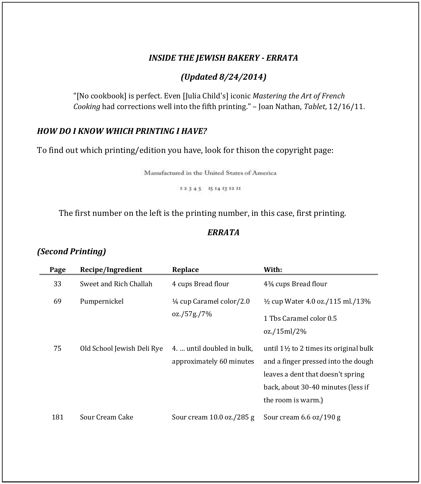### *INSIDE THE JEWISH BAKERY - ERRATA*

### *(Updated 8/24/2014)*

"[No cookbook] is perfect. Even [Julia Child's] iconic *Mastering the Art of French Cooking* had corrections well into the fifth printing." – Joan Nathan, *Tablet*, 12/16/11.

### *HOW DO I KNOW WHICH PRINTING I HAVE?*

To find out which printing/edition you have, look for thison the copyright page:

Manufactured in the United States of America

12345 1514131211

The first number on the left is the printing number, in this case, first printing.

### *ERRATA*

## *(Second Printing)*

| Page | Recipe/Ingredient          | Replace                                                | With:                                                                                                                                                                                     |
|------|----------------------------|--------------------------------------------------------|-------------------------------------------------------------------------------------------------------------------------------------------------------------------------------------------|
| 33   | Sweet and Rich Challah     | 4 cups Bread flour                                     | 43/4 cups Bread flour                                                                                                                                                                     |
| 69   | Pumpernickel               | $\frac{1}{4}$ cup Caramel color/2.0                    | $\frac{1}{2}$ cup Water 4.0 oz./115 ml./13%                                                                                                                                               |
|      |                            | oz./57g./7%                                            | 1 Ths Caramel color 0.5<br>oz./15ml/2%                                                                                                                                                    |
| 75   | Old School Jewish Deli Rye | 4.  until doubled in bulk.<br>approximately 60 minutes | until $1\frac{1}{2}$ to 2 times its original bulk<br>and a finger pressed into the dough<br>leaves a dent that doesn't spring<br>back, about 30-40 minutes (less if<br>the room is warm.) |
| 181  | Sour Cream Cake            | Sour cream 10.0 oz./285 g                              | Sour cream 6.6 oz/190 g                                                                                                                                                                   |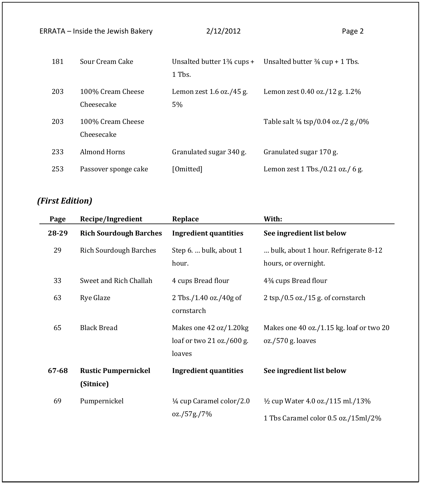|     | <b>ERRATA - Inside the Jewish Bakery</b> | 2/12/2012                                       | Page 2                                        |
|-----|------------------------------------------|-------------------------------------------------|-----------------------------------------------|
| 181 | Sour Cream Cake                          | Unsalted butter $1\frac{3}{4}$ cups +<br>1 Tbs. | Unsalted butter $\frac{3}{4}$ cup + 1 Tbs.    |
| 203 | 100% Cream Cheese<br>Cheesecake          | Lemon zest $1.6$ oz./45 g.<br>5%                | Lemon zest 0.40 oz./12 g. 1.2%                |
| 203 | 100% Cream Cheese<br>Cheesecake          |                                                 | Table salt $\frac{1}{4}$ tsp/0.04 oz./2 g./0% |
| 233 | Almond Horns                             | Granulated sugar 340 g.                         | Granulated sugar 170 g.                       |
| 253 | Passover sponge cake                     | [Omitted]                                       | Lemon zest 1 Tbs./0.21 oz./ 6 g.              |

# *(First Edition)*

| Page  | Recipe/Ingredient                       | Replace                                                       | With:                                                                              |
|-------|-----------------------------------------|---------------------------------------------------------------|------------------------------------------------------------------------------------|
| 28-29 | <b>Rich Sourdough Barches</b>           | <b>Ingredient quantities</b>                                  | See ingredient list below                                                          |
| 29    | <b>Rich Sourdough Barches</b>           | Step 6.  bulk, about 1<br>hour.                               | bulk, about 1 hour. Refrigerate 8-12<br>hours, or overnight.                       |
| 33    | Sweet and Rich Challah                  | 4 cups Bread flour                                            | 434 cups Bread flour                                                               |
| 63    | Rye Glaze                               | 2 Tbs./1.40 oz./40g of<br>cornstarch                          | 2 tsp./0.5 oz./15 g. of cornstarch                                                 |
| 65    | <b>Black Bread</b>                      | Makes one 42 oz/1.20kg<br>loaf or two 21 oz./600 g.<br>loaves | Makes one 40 oz./1.15 kg. loaf or two 20<br>oz./570 g. loaves                      |
| 67-68 | <b>Rustic Pumpernickel</b><br>(Sitnice) | <b>Ingredient quantities</b>                                  | See ingredient list below                                                          |
| 69    | Pumpernickel                            | 1/ <sub>4</sub> cup Caramel color/2.0<br>oz./57g./7%          | $\frac{1}{2}$ cup Water 4.0 oz./115 ml./13%<br>1 Tbs Caramel color 0.5 oz./15ml/2% |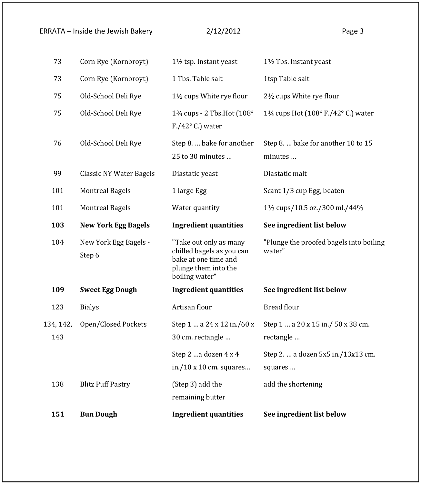## ERRATA – Inside the Jewish Bakery 2/12/2012 2012

| 151       | <b>Bun Dough</b>                | <b>Ingredient quantities</b>                                                                                          | See ingredient list below                         |
|-----------|---------------------------------|-----------------------------------------------------------------------------------------------------------------------|---------------------------------------------------|
| 138       | <b>Blitz Puff Pastry</b>        | (Step 3) add the<br>remaining butter                                                                                  | add the shortening                                |
|           |                                 | Step 2 a dozen 4 x 4<br>in./10 $\times$ 10 cm. squares                                                                | Step 2.  a dozen 5x5 in./13x13 cm.<br>squares     |
| 143       |                                 | 30 cm. rectangle                                                                                                      | rectangle                                         |
| 134, 142, | Open/Closed Pockets             | Step 1  a 24 x 12 in./60 x                                                                                            | Step 1  a 20 x 15 in./ 50 x 38 cm.                |
| 123       | <b>Bialys</b>                   | Artisan flour                                                                                                         | <b>Bread flour</b>                                |
| 109       | <b>Sweet Egg Dough</b>          | <b>Ingredient quantities</b>                                                                                          | See ingredient list below                         |
| 104       | New York Egg Bagels -<br>Step 6 | "Take out only as many<br>chilled bagels as you can<br>bake at one time and<br>plunge them into the<br>boiling water" | "Plunge the proofed bagels into boiling<br>water" |
| 103       | <b>New York Egg Bagels</b>      | <b>Ingredient quantities</b>                                                                                          | See ingredient list below                         |
| 101       | <b>Montreal Bagels</b>          | Water quantity                                                                                                        | 11/ <sub>3</sub> cups/10.5 oz./300 ml./44%        |
| 101       | <b>Montreal Bagels</b>          | 1 large Egg                                                                                                           | Scant 1/3 cup Egg, beaten                         |
| 99        | <b>Classic NY Water Bagels</b>  | Diastatic yeast                                                                                                       | Diastatic malt                                    |
| 76        | Old-School Deli Rye             | Step 8.  bake for another<br>25 to 30 minutes                                                                         | Step 8.  bake for another 10 to 15<br>minutes     |
| 75        | Old-School Deli Rye             | 13/4 cups - 2 Tbs. Hot (108°<br>$F./42^{\circ}$ C.) water                                                             | 1¼ cups Hot (108° F./42° C.) water                |
| 75        | Old-School Deli Rye             | 1½ cups White rye flour                                                                                               | 2½ cups White rye flour                           |
| 73        | Corn Rye (Kornbroyt)            | 1 Tbs. Table salt                                                                                                     | 1tsp Table salt                                   |
| 73        | Corn Rye (Kornbroyt)            | 1½ tsp. Instant yeast                                                                                                 | 1½ Tbs. Instant yeast                             |
|           |                                 |                                                                                                                       |                                                   |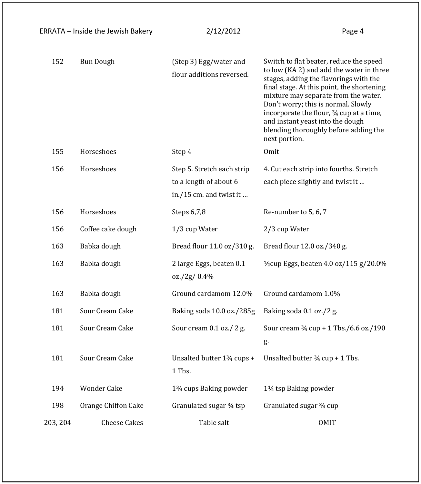|          | ERRATA - Inside the Jewish Bakery | 2/12/2012                                                                       | Page 4                                                                                                                                                                                                                                                                                                                                                                                                |
|----------|-----------------------------------|---------------------------------------------------------------------------------|-------------------------------------------------------------------------------------------------------------------------------------------------------------------------------------------------------------------------------------------------------------------------------------------------------------------------------------------------------------------------------------------------------|
| 152      | <b>Bun Dough</b>                  | (Step 3) Egg/water and<br>flour additions reversed.                             | Switch to flat beater, reduce the speed<br>to low (KA 2) and add the water in three<br>stages, adding the flavorings with the<br>final stage. At this point, the shortening<br>mixture may separate from the water.<br>Don't worry; this is normal. Slowly<br>incorporate the flour, 3/4 cup at a time,<br>and instant yeast into the dough<br>blending thoroughly before adding the<br>next portion. |
| 155      | Horseshoes                        | Step 4                                                                          | Omit                                                                                                                                                                                                                                                                                                                                                                                                  |
| 156      | Horseshoes                        | Step 5. Stretch each strip<br>to a length of about 6<br>in./15 cm. and twist it | 4. Cut each strip into fourths. Stretch<br>each piece slightly and twist it                                                                                                                                                                                                                                                                                                                           |
| 156      | Horseshoes                        | Steps 6,7,8                                                                     | Re-number to 5, 6, 7                                                                                                                                                                                                                                                                                                                                                                                  |
| 156      | Coffee cake dough                 | 1/3 cup Water                                                                   | 2/3 cup Water                                                                                                                                                                                                                                                                                                                                                                                         |
| 163      | Babka dough                       | Bread flour 11.0 oz/310 g.                                                      | Bread flour 12.0 oz./340 g.                                                                                                                                                                                                                                                                                                                                                                           |
| 163      | Babka dough                       | 2 large Eggs, beaten 0.1<br>oz./2g/0.4%                                         | $\frac{1}{2}$ cup Eggs, beaten 4.0 oz/115 g/20.0%                                                                                                                                                                                                                                                                                                                                                     |
| 163      | Babka dough                       | Ground cardamom 12.0%                                                           | Ground cardamom 1.0%                                                                                                                                                                                                                                                                                                                                                                                  |
| 181      | Sour Cream Cake                   | Baking soda 10.0 oz./285g                                                       | Baking soda 0.1 oz./2 g.                                                                                                                                                                                                                                                                                                                                                                              |
| 181      | Sour Cream Cake                   | Sour cream 0.1 oz./ 2 g.                                                        | Sour cream 3/4 cup + 1 Tbs./6.6 oz./190<br>g.                                                                                                                                                                                                                                                                                                                                                         |
| 181      | Sour Cream Cake                   | Unsalted butter 13/4 cups +<br>1 Tbs.                                           | Unsalted butter $\frac{3}{4}$ cup + 1 Tbs.                                                                                                                                                                                                                                                                                                                                                            |
| 194      | Wonder Cake                       | 1 <sup>3</sup> / <sub>4</sub> cups Baking powder                                | 11/ <sub>4</sub> tsp Baking powder                                                                                                                                                                                                                                                                                                                                                                    |
| 198      | Orange Chiffon Cake               | Granulated sugar 3/4 tsp                                                        | Granulated sugar 34 cup                                                                                                                                                                                                                                                                                                                                                                               |
| 203, 204 | <b>Cheese Cakes</b>               | Table salt                                                                      | <b>OMIT</b>                                                                                                                                                                                                                                                                                                                                                                                           |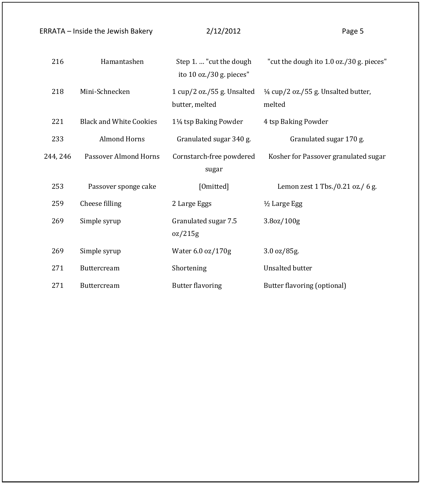|          | <b>ERRATA - Inside the Jewish Bakery</b> | 2/12/2012                                           | Page 5                                                   |
|----------|------------------------------------------|-----------------------------------------------------|----------------------------------------------------------|
| 216      | Hamantashen                              | Step 1.  "cut the dough<br>ito 10 oz./30 g. pieces" | "cut the dough ito 1.0 oz./30 g. pieces"                 |
| 218      | Mini-Schnecken                           | 1 cup/2 oz./55 g. Unsalted<br>butter, melted        | $\frac{1}{4}$ cup/2 oz./55 g. Unsalted butter,<br>melted |
| 221      | <b>Black and White Cookies</b>           | 11/ <sub>4</sub> tsp Baking Powder                  | 4 tsp Baking Powder                                      |
| 233      | <b>Almond Horns</b>                      | Granulated sugar 340 g.                             | Granulated sugar 170 g.                                  |
| 244, 246 | Passover Almond Horns                    | Cornstarch-free powdered<br>sugar                   | Kosher for Passover granulated sugar                     |
| 253      | Passover sponge cake                     | [Omitted]                                           | Lemon zest 1 Tbs./0.21 oz./ 6 g.                         |
| 259      | Cheese filling                           | 2 Large Eggs                                        | 1/2 Large Egg                                            |
| 269      | Simple syrup                             | Granulated sugar 7.5<br>oz/215g                     | 3.8oz/100g                                               |
| 269      | Simple syrup                             | Water 6.0 oz/170g                                   | 3.0 oz/85g.                                              |
| 271      | <b>Buttercream</b>                       | Shortening                                          | <b>Unsalted butter</b>                                   |
| 271      | Buttercream                              | <b>Butter flavoring</b>                             | Butter flavoring (optional)                              |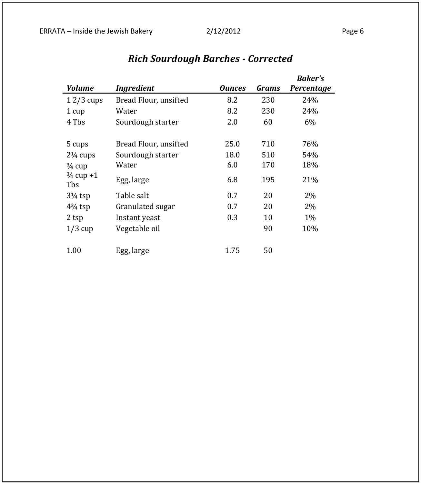|                             |                       |               |       | <b>Baker's</b> |
|-----------------------------|-----------------------|---------------|-------|----------------|
| <b>Volume</b>               | <b>Ingredient</b>     | <b>Ounces</b> | Grams | Percentage     |
| $12/3$ cups                 | Bread Flour, unsifted | 8.2           | 230   | 24%            |
| 1 cup                       | Water                 | 8.2           | 230   | 24%            |
| 4 Tbs                       | Sourdough starter     | 2.0           | 60    | 6%             |
| 5 cups                      | Bread Flour, unsifted | 25.0          | 710   | 76%            |
| $2\frac{1}{4}$ cups         | Sourdough starter     | 18.0          | 510   | 54%            |
| $\frac{3}{4}$ cup           | Water                 | 6.0           | 170   | 18%            |
| $\frac{3}{4}$ cup +1<br>Tbs | Egg, large            | 6.8           | 195   | 21%            |
| $3\frac{1}{4}$ tsp          | Table salt            | 0.7           | 20    | $2\%$          |
| $4\frac{3}{4}$ tsp          | Granulated sugar      | 0.7           | 20    | 2%             |
| 2 tsp                       | Instant yeast         | 0.3           | 10    | $1\%$          |
| $1/3$ cup                   | Vegetable oil         |               | 90    | 10%            |
| 1.00                        | Egg, large            | 1.75          | 50    |                |

# *Rich Sourdough Barches - Corrected*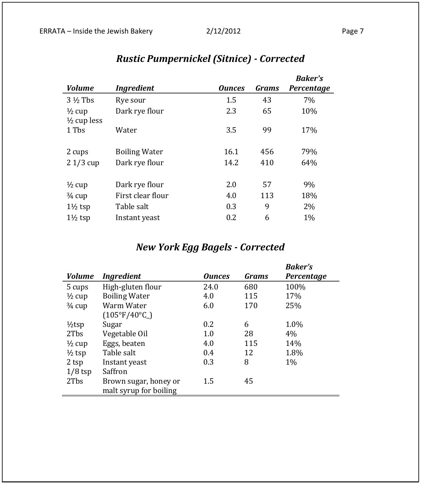## *Volume Ingredient Ounces Grams Baker's Percentage* 3 <sup>1</sup>/<sub>2</sub> Tbs Rye sour 1.5 43 7%  $\frac{1}{2}$  cup Dark rye flour 2.3 65 10% ½ cup less 1 Tbs Water 3.5 99 17% 2 cups Boiling Water 16.1 456 79% 2 1/3 cup Dark rye flour 14.2 410 64%  $\frac{1}{2}$  cup Dark rye flour 2.0 57 9%  $\frac{3}{4}$  cup First clear flour 4.0 113 18%  $1\frac{1}{2}$  tsp Table salt 0.3 9 2%  $1\frac{1}{2}$  tsp Instant yeast 0.2 6 1%

# *Rustic Pumpernickel (Sitnice) - Corrected*

## *New York Egg Bagels - Corrected*

|                   |                              |               |              | <b>Baker's</b> |
|-------------------|------------------------------|---------------|--------------|----------------|
| <b>Volume</b>     | <b>Ingredient</b>            | <b>Ounces</b> | <b>Grams</b> | Percentage     |
| 5 cups            | High-gluten flour            | 24.0          | 680          | 100%           |
| $\frac{1}{2}$ cup | <b>Boiling Water</b>         | 4.0           | 115          | 17%            |
| $\frac{3}{4}$ cup | Warm Water                   | 6.0           | 170          | 25%            |
|                   | $(105^{\circ}F/40^{\circ}C)$ |               |              |                |
| $1/2$ tsp         | Sugar                        | 0.2           | 6            | 1.0%           |
| 2Tbs              | Vegetable Oil                | 1.0           | 28           | 4%             |
| $\frac{1}{2}$ cup | Eggs, beaten                 | 4.0           | 115          | 14%            |
| $\frac{1}{2}$ tsp | Table salt                   | 0.4           | 12           | 1.8%           |
| 2 tsp             | Instant yeast                | 0.3           | 8            | $1\%$          |
| $1/8$ tsp         | Saffron                      |               |              |                |
| 2Tbs              | Brown sugar, honey or        | 1.5           | 45           |                |
|                   | malt syrup for boiling       |               |              |                |